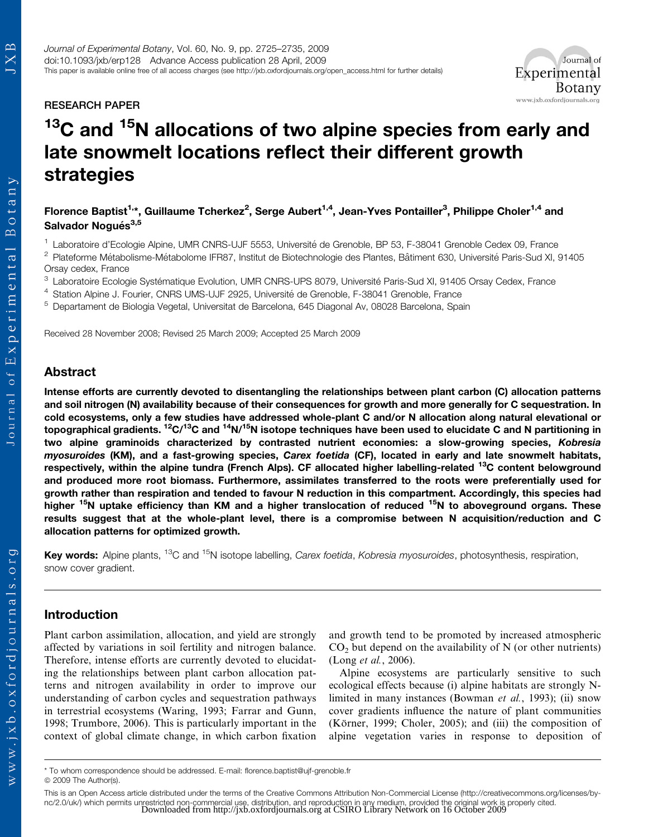## RESEARCH PAPER

# $13$ C and  $15$ N allocations of two alpine species from early and late snowmelt locations reflect their different growth strategies

Florence Baptist<sup>1,</sup>\*, Guillaume Tcherkez<sup>2</sup>, Serge Aubert<sup>1,4</sup>, Jean-Yves Pontailler<sup>3</sup>, Philippe Choler<sup>1,4</sup> and Salvador Nogués<sup>3,5</sup>

<sup>1</sup> Laboratoire d'Ecologie Alpine, UMR CNRS-UJF 5553, Université de Grenoble, BP 53, F-38041 Grenoble Cedex 09, France

<sup>2</sup> Plateforme Métabolisme-Métabolome IFR87, Institut de Biotechnologie des Plantes, Bâtiment 630, Université Paris-Sud XI, 91405 Orsay cedex, France

 $3$  Laboratoire Ecologie Systématique Evolution, UMR CNRS-UPS 8079, Université Paris-Sud XI, 91405 Orsay Cedex, France

<sup>4</sup> Station Alpine J. Fourier, CNRS UMS-UJF 2925, Université de Grenoble, F-38041 Grenoble, France

<sup>5</sup> Departament de Biologia Vegetal, Universitat de Barcelona, 645 Diagonal Av, 08028 Barcelona, Spain

Received 28 November 2008; Revised 25 March 2009; Accepted 25 March 2009

# Abstract

Intense efforts are currently devoted to disentangling the relationships between plant carbon (C) allocation patterns and soil nitrogen (N) availability because of their consequences for growth and more generally for C sequestration. In cold ecosystems, only a few studies have addressed whole-plant C and/or N allocation along natural elevational or topographical gradients. 12C/13C and 14N/15N isotope techniques have been used to elucidate C and N partitioning in two alpine graminoids characterized by contrasted nutrient economies: a slow-growing species, Kobresia myosuroides (KM), and a fast-growing species, Carex foetida (CF), located in early and late snowmelt habitats, respectively, within the alpine tundra (French Alps). CF allocated higher labelling-related <sup>13</sup>C content belowground and produced more root biomass. Furthermore, assimilates transferred to the roots were preferentially used for growth rather than respiration and tended to favour N reduction in this compartment. Accordingly, this species had higher <sup>15</sup>N uptake efficiency than KM and a higher translocation of reduced <sup>15</sup>N to aboveground organs. These results suggest that at the whole-plant level, there is a compromise between N acquisition/reduction and C allocation patterns for optimized growth.

Key words: Alpine plants, <sup>13</sup>C and <sup>15</sup>N isotope labelling, Carex foetida, Kobresia myosuroides, photosynthesis, respiration, snow cover gradient.

## Introduction

Plant carbon assimilation, allocation, and yield are strongly affected by variations in soil fertility and nitrogen balance. Therefore, intense efforts are currently devoted to elucidating the relationships between plant carbon allocation patterns and nitrogen availability in order to improve our understanding of carbon cycles and sequestration pathways in terrestrial ecosystems (Waring, 1993; Farrar and Gunn, 1998; Trumbore, 2006). This is particularly important in the context of global climate change, in which carbon fixation and growth tend to be promoted by increased atmospheric  $CO<sub>2</sub>$  but depend on the availability of N (or other nutrients) (Long et al., 2006).

Alpine ecosystems are particularly sensitive to such ecological effects because (i) alpine habitats are strongly Nlimited in many instances (Bowman et al., 1993); (ii) snow cover gradients influence the nature of plant communities (Körner, 1999; Choler, 2005); and (iii) the composition of alpine vegetation varies in response to deposition of

 $\mathbf{p}$ JX

<sup>\*</sup> To whom correspondence should be addressed. E-mail: florence.baptist@ujf-grenoble.fr © 2009 The Author(s).

This is an Open Access article distributed under the terms of the Creative Commons Attribution Non-Commercial License (http://creativecommons.org/licenses/bync/2.0/uk/) which permits unrestricted non-commercial use, distribution, and reproduction in any medium, provided the original work is properly cited.<br>Downloaded from<http://jxb.oxfordjournals.org>at CSIRO Library Network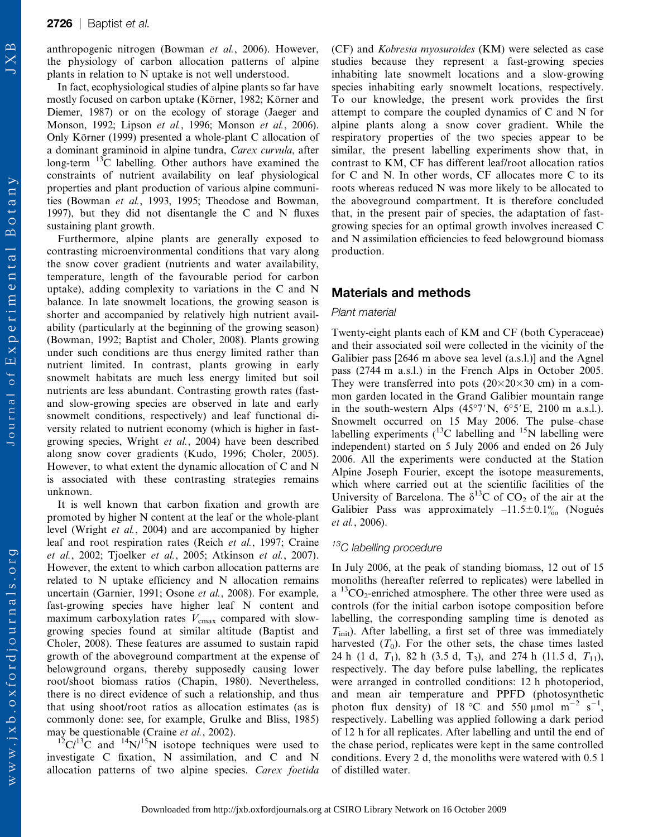#### **2726** | Baptist et al.

anthropogenic nitrogen (Bowman et al., 2006). However, the physiology of carbon allocation patterns of alpine plants in relation to N uptake is not well understood.

In fact, ecophysiological studies of alpine plants so far have mostly focused on carbon uptake (Körner, 1982; Körner and Diemer, 1987) or on the ecology of storage (Jaeger and Monson, 1992; Lipson et al., 1996; Monson et al., 2006). Only Körner (1999) presented a whole-plant C allocation of a dominant graminoid in alpine tundra, Carex curvula, after long-term  $^{13}$ C labelling. Other authors have examined the constraints of nutrient availability on leaf physiological properties and plant production of various alpine communities (Bowman et al., 1993, 1995; Theodose and Bowman, 1997), but they did not disentangle the C and N fluxes sustaining plant growth.

Furthermore, alpine plants are generally exposed to contrasting microenvironmental conditions that vary along the snow cover gradient (nutrients and water availability, temperature, length of the favourable period for carbon uptake), adding complexity to variations in the C and N balance. In late snowmelt locations, the growing season is shorter and accompanied by relatively high nutrient availability (particularly at the beginning of the growing season) (Bowman, 1992; Baptist and Choler, 2008). Plants growing under such conditions are thus energy limited rather than nutrient limited. In contrast, plants growing in early snowmelt habitats are much less energy limited but soil nutrients are less abundant. Contrasting growth rates (fastand slow-growing species are observed in late and early snowmelt conditions, respectively) and leaf functional diversity related to nutrient economy (which is higher in fastgrowing species, Wright et al., 2004) have been described along snow cover gradients (Kudo, 1996; Choler, 2005). However, to what extent the dynamic allocation of C and N is associated with these contrasting strategies remains unknown.

It is well known that carbon fixation and growth are promoted by higher N content at the leaf or the whole-plant level (Wright et al., 2004) and are accompanied by higher leaf and root respiration rates (Reich et al., 1997; Craine et al., 2002; Tjoelker et al., 2005; Atkinson et al., 2007). However, the extent to which carbon allocation patterns are related to N uptake efficiency and N allocation remains uncertain (Garnier, 1991; Osone et al., 2008). For example, fast-growing species have higher leaf N content and maximum carboxylation rates  $V_{\text{cmax}}$  compared with slowgrowing species found at similar altitude (Baptist and Choler, 2008). These features are assumed to sustain rapid growth of the aboveground compartment at the expense of belowground organs, thereby supposedly causing lower root/shoot biomass ratios (Chapin, 1980). Nevertheless, there is no direct evidence of such a relationship, and thus that using shoot/root ratios as allocation estimates (as is commonly done: see, for example, Grulke and Bliss, 1985) may be questionable (Craine *et al.*, 2002).

 $12C/13C$  and  $14N/15N$  isotope techniques were used to investigate C fixation, N assimilation, and C and N allocation patterns of two alpine species. Carex foetida (CF) and Kobresia myosuroides (KM) were selected as case studies because they represent a fast-growing species inhabiting late snowmelt locations and a slow-growing species inhabiting early snowmelt locations, respectively. To our knowledge, the present work provides the first attempt to compare the coupled dynamics of C and N for alpine plants along a snow cover gradient. While the respiratory properties of the two species appear to be similar, the present labelling experiments show that, in contrast to KM, CF has different leaf/root allocation ratios for C and N. In other words, CF allocates more C to its roots whereas reduced N was more likely to be allocated to the aboveground compartment. It is therefore concluded that, in the present pair of species, the adaptation of fastgrowing species for an optimal growth involves increased C and N assimilation efficiencies to feed belowground biomass production.

## Materials and methods

#### Plant material

Twenty-eight plants each of KM and CF (both Cyperaceae) and their associated soil were collected in the vicinity of the Galibier pass [2646 m above sea level (a.s.l.)] and the Agnel pass (2744 m a.s.l.) in the French Alps in October 2005. They were transferred into pots  $(20\times20\times30$  cm) in a common garden located in the Grand Galibier mountain range in the south-western Alps  $(45°7'N, 6°5'E, 2100 m a.s.l.).$ Snowmelt occurred on 15 May 2006. The pulse–chase labelling experiments  $(^{13}C$  labelling and  $^{15}N$  labelling were independent) started on 5 July 2006 and ended on 26 July 2006. All the experiments were conducted at the Station Alpine Joseph Fourier, except the isotope measurements, which where carried out at the scientific facilities of the University of Barcelona. The  $\delta^{13}$ C of CO<sub>2</sub> of the air at the Galibier Pass was approximately  $-11.5\pm0.1\%$  (Nogués et al., 2006).

## <sup>13</sup>C labelling procedure

In July 2006, at the peak of standing biomass, 12 out of 15 monoliths (hereafter referred to replicates) were labelled in  $a^{13}CO_2$ -enriched atmosphere. The other three were used as controls (for the initial carbon isotope composition before labelling, the corresponding sampling time is denoted as  $T<sub>init</sub>$ ). After labelling, a first set of three was immediately harvested  $(T_0)$ . For the other sets, the chase times lasted 24 h (1 d,  $T_1$ ), 82 h (3.5 d, T<sub>3</sub>), and 274 h (11.5 d,  $T_{11}$ ), respectively. The day before pulse labelling, the replicates were arranged in controlled conditions: 12 h photoperiod, and mean air temperature and PPFD (photosynthetic photon flux density) of 18 °C and 550  $\mu$ mol m<sup>-2</sup> s<sup>-1</sup>, respectively. Labelling was applied following a dark period of 12 h for all replicates. After labelling and until the end of the chase period, replicates were kept in the same controlled conditions. Every 2 d, the monoliths were watered with 0.5 l of distilled water.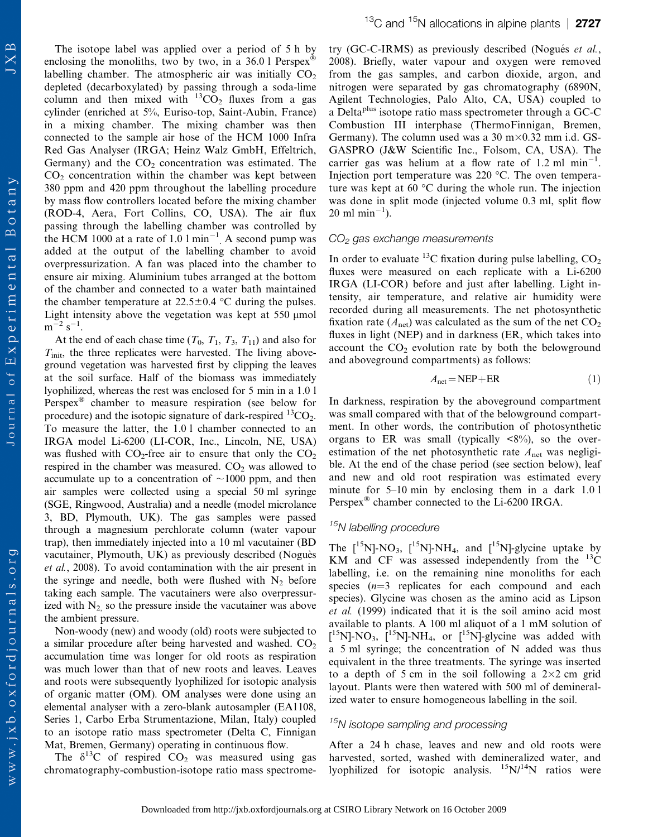The isotope label was applied over a period of 5 h by enclosing the monoliths, two by two, in a 36.0 l Perspex $^{\circledR}$ labelling chamber. The atmospheric air was initially  $CO<sub>2</sub>$ depleted (decarboxylated) by passing through a soda-lime column and then mixed with  ${}^{13}CO_2$  fluxes from a gas cylinder (enriched at 5%, Euriso-top, Saint-Aubin, France) in a mixing chamber. The mixing chamber was then connected to the sample air hose of the HCM 1000 Infra Red Gas Analyser (IRGA; Heinz Walz GmbH, Effeltrich, Germany) and the  $CO<sub>2</sub>$  concentration was estimated. The  $CO<sub>2</sub>$  concentration within the chamber was kept between 380 ppm and 420 ppm throughout the labelling procedure by mass flow controllers located before the mixing chamber (ROD-4, Aera, Fort Collins, CO, USA). The air flux passing through the labelling chamber was controlled by the HCM 1000 at a rate of 1.0  $1 \text{ min}^{-1}$  A second pump was added at the output of the labelling chamber to avoid overpressurization. A fan was placed into the chamber to ensure air mixing. Aluminium tubes arranged at the bottom of the chamber and connected to a water bath maintained the chamber temperature at  $22.5 \pm 0.4$  °C during the pulses. Light intensity above the vegetation was kept at  $550 \mu$  mol  $m^{-2} s^{-1}$ .

At the end of each chase time  $(T_0, T_1, T_3, T_{11})$  and also for  $T<sub>init</sub>$ , the three replicates were harvested. The living aboveground vegetation was harvested first by clipping the leaves at the soil surface. Half of the biomass was immediately lyophilized, whereas the rest was enclosed for 5 min in a 1.0 l Perspex<sup>®</sup> chamber to measure respiration (see below for procedure) and the isotopic signature of dark-respired  ${}^{13}CO_2$ . To measure the latter, the 1.0 l chamber connected to an IRGA model Li-6200 (LI-COR, Inc., Lincoln, NE, USA) was flushed with  $CO_2$ -free air to ensure that only the  $CO_2$ respired in the chamber was measured.  $CO<sub>2</sub>$  was allowed to accumulate up to a concentration of  $\sim$ 1000 ppm, and then air samples were collected using a special 50 ml syringe (SGE, Ringwood, Australia) and a needle (model microlance 3, BD, Plymouth, UK). The gas samples were passed through a magnesium perchlorate column (water vapour trap), then immediately injected into a 10 ml vacutainer (BD vacutainer, Plymouth, UK) as previously described (Noguès et al., 2008). To avoid contamination with the air present in the syringe and needle, both were flushed with  $N_2$  before taking each sample. The vacutainers were also overpressurized with  $N_2$  so the pressure inside the vacutainer was above the ambient pressure.

Non-woody (new) and woody (old) roots were subjected to a similar procedure after being harvested and washed.  $CO<sub>2</sub>$ accumulation time was longer for old roots as respiration was much lower than that of new roots and leaves. Leaves and roots were subsequently lyophilized for isotopic analysis of organic matter (OM). OM analyses were done using an elemental analyser with a zero-blank autosampler (EA1108, Series 1, Carbo Erba Strumentazione, Milan, Italy) coupled to an isotope ratio mass spectrometer (Delta C, Finnigan Mat, Bremen, Germany) operating in continuous flow.

The  $\delta^{13}$ C of respired CO<sub>2</sub> was measured using gas chromatography-combustion-isotope ratio mass spectrometry (GC-C-IRMS) as previously described (Nogués et al., 2008). Briefly, water vapour and oxygen were removed from the gas samples, and carbon dioxide, argon, and nitrogen were separated by gas chromatography (6890N, Agilent Technologies, Palo Alto, CA, USA) coupled to a Delta<sup>plus</sup> isotope ratio mass spectrometer through a GC-C Combustion III interphase (ThermoFinnigan, Bremen, Germany). The column used was a 30 m $\times$ 0.32 mm i.d. GS-GASPRO (J&W Scientific Inc., Folsom, CA, USA). The carrier gas was helium at a flow rate of  $1.2 \text{ ml } \text{min}^{-1}$ . Injection port temperature was  $220 \text{ °C}$ . The oven temperature was kept at 60  $\degree$ C during the whole run. The injection was done in split mode (injected volume 0.3 ml, split flow  $20 \text{ ml } \text{min}^{-1}$ ).

#### $CO<sub>2</sub>$  gas exchange measurements

In order to evaluate <sup>13</sup>C fixation during pulse labelling,  $CO<sub>2</sub>$ fluxes were measured on each replicate with a Li-6200 IRGA (LI-COR) before and just after labelling. Light intensity, air temperature, and relative air humidity were recorded during all measurements. The net photosynthetic fixation rate ( $A_{\text{net}}$ ) was calculated as the sum of the net  $CO_2$ fluxes in light (NEP) and in darkness (ER, which takes into account the  $CO<sub>2</sub>$  evolution rate by both the belowground and aboveground compartments) as follows:

$$
A_{\text{net}} = \text{NEP} + \text{ER} \tag{1}
$$

In darkness, respiration by the aboveground compartment was small compared with that of the belowground compartment. In other words, the contribution of photosynthetic organs to ER was small (typically  $\langle 8\% \rangle$ , so the overestimation of the net photosynthetic rate  $A_{\text{net}}$  was negligible. At the end of the chase period (see section below), leaf and new and old root respiration was estimated every minute for 5–10 min by enclosing them in a dark 1.0 l Perspex<sup>®</sup> chamber connected to the Li-6200 IRGA.

# <sup>15</sup>N labelling procedure

The  $[15N]$ -NO<sub>3</sub>,  $[15N]$ -NH<sub>4</sub>, and  $[15N]$ -glycine uptake by KM and CF was assessed independently from the  $^{13}$ C labelling, i.e. on the remaining nine monoliths for each species  $(n=3$  replicates for each compound and each species). Glycine was chosen as the amino acid as Lipson et al. (1999) indicated that it is the soil amino acid most available to plants. A 100 ml aliquot of a 1 mM solution of  $\left[ \begin{smallmatrix} 15\\1 \end{smallmatrix} \right]$ -NO<sub>3</sub>,  $\left[ \begin{smallmatrix} 15\\1 \end{smallmatrix} \right]$ -NH<sub>4</sub>, or  $\left[ \begin{smallmatrix} 15\\1 \end{smallmatrix} \right]$ -glycine was added with a 5 ml syringe; the concentration of N added was thus equivalent in the three treatments. The syringe was inserted to a depth of 5 cm in the soil following a  $2\times2$  cm grid layout. Plants were then watered with 500 ml of demineralized water to ensure homogeneous labelling in the soil.

## $15$ N isotope sampling and processing

After a 24 h chase, leaves and new and old roots were harvested, sorted, washed with demineralized water, and lyophilized for isotopic analysis.  ${}^{15}N/{}^{14}N$  ratios were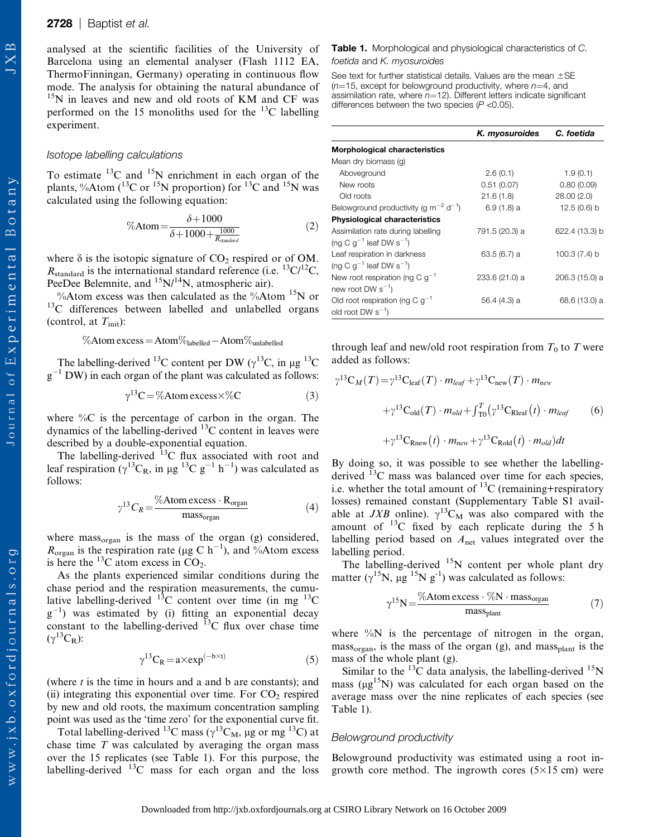analysed at the scientific facilities of the University of Barcelona using an elemental analyser (Flash 1112 EA, ThermoFinningan, Germany) operating in continuous flow mode. The analysis for obtaining the natural abundance of <sup>15</sup>N in leaves and new and old roots of KM and CF was performed on the 15 monoliths used for the  $^{13}$ C labelling experiment.

## Isotope labelling calculations

To estimate  $^{13}$ C and  $^{15}$ N enrichment in each organ of the plants, %Atom ( ${}^{13}$ C or  ${}^{15}$ N proportion) for  ${}^{13}$ C and  ${}^{15}$ N was calculated using the following equation:

$$
\%Atom = \frac{\delta + 1000}{\delta + 1000 + \frac{1000}{R_{standard}}}
$$
 (2)

where  $\delta$  is the isotopic signature of  $CO_2$  respired or of OM.  $R_{\text{standard}}$  is the international standard reference (i.e.  ${}^{13}$ C/ ${}^{12}$ C, PeeDee Belemnite, and  $^{15}N/^{14}N$ , atmospheric air).

%Atom excess was then calculated as the %Atom  $^{15}N$  or <sup>13</sup>C differences between labelled and unlabelled organs (control, at  $T_{\text{init}}$ ):

$$
\%Atom excess = Atom\%_{labelled} -Atom\%_{unlabeled}
$$

The labelling-derived <sup>13</sup>C content per DW ( $\gamma$ <sup>13</sup>C, in µg <sup>13</sup>C  $g^{-1}$  DW) in each organ of the plant was calculated as follows:

$$
\gamma^{13}C = \% \text{Atom excess} \times \% \text{C}
$$
 (3)

where  $\%C$  is the percentage of carbon in the organ. The dynamics of the labelling-derived  $^{13}$ C content in leaves were described by a double-exponential equation.

The labelling-derived  $^{13}$ C flux associated with root and leaf respiration ( $\gamma^{13}C_R$ , in  $\mu$ g  $^{13}C$  g<sup>-1</sup> h<sup>-1</sup>) was calculated as follows:

$$
\gamma^{13} C_R = \frac{\% \text{Atom excess} \cdot \text{R}_{\text{organ}}}{\text{mass}_{\text{organ}}} \tag{4}
$$

where mass<sub>organ</sub> is the mass of the organ (g) considered,  $R_{\text{organ}}$  is the respiration rate (µg C h<sup>-1</sup>), and %Atom excess is here the  $^{13}$ C atom excess in CO<sub>2</sub>.

As the plants experienced similar conditions during the chase period and the respiration measurements, the cumulative labelling-derived  $^{13}$ C content over time (in mg  $^{13}$ C  $g^{-1}$ ) was estimated by (i) fitting an exponential decay constant to the labelling-derived  $^{13}$ C flux over chase time  $(\gamma^{13}C_R)$ :

$$
\gamma^{13}C_R = a \times \exp^{(-b \times t)}\tag{5}
$$

(where  $t$  is the time in hours and a and b are constants); and (ii) integrating this exponential over time. For  $CO<sub>2</sub>$  respired by new and old roots, the maximum concentration sampling point was used as the 'time zero' for the exponential curve fit.

Total labelling-derived <sup>13</sup>C mass ( $\gamma$ <sup>13</sup>C<sub>M</sub>, µg or mg <sup>13</sup>C) at chase time  $T$  was calculated by averaging the organ mass over the 15 replicates (see Table 1). For this purpose, the labelling-derived  $^{13}$ C mass for each organ and the loss

#### Table 1. Morphological and physiological characteristics of C. foetida and K. myosuroides

See text for further statistical details. Values are the mean  $\pm$ SE  $(n=15,$  except for belowground productivity, where  $n=4$ , and assimilation rate, where  $n=12$ ). Different letters indicate significant differences between the two species  $(P < 0.05)$ .

|                                                              | K. myosuroides | C. foetida      |
|--------------------------------------------------------------|----------------|-----------------|
| <b>Morphological characteristics</b>                         |                |                 |
| Mean dry biomass (g)                                         |                |                 |
| Aboveground                                                  | 2.6(0.1)       | 1.9(0.1)        |
| New roots                                                    | 0.51(0.07)     | 0.80(0.09)      |
| Old roots                                                    | 21.6(1.8)      | 28.00 (2.0)     |
| Belowground productivity (g $\text{m}^{-2} \text{ d}^{-1}$ ) | $6.9(1.8)$ a   | 12.5(0.6) b     |
| <b>Physiological characteristics</b>                         |                |                 |
| Assimilation rate during labelling                           | 791.5 (20.3) a | 622.4 (13.3) b  |
| (ng C $q^{-1}$ leaf DW $s^{-1}$ )                            |                |                 |
| Leaf respiration in darkness                                 | 63.5(6.7) a    | 100.3 $(7.4)$ b |
| (ng C $q^{-1}$ leaf DW $s^{-1}$ )                            |                |                 |
| New root respiration (ng C $q^{-1}$                          | 233.6 (21.0) a | 206.3 (15.0) a  |
| new root DW $s^{-1}$ )                                       |                |                 |
| Old root respiration (ng C $g^{-1}$                          | 56.4 (4.3) a   | 68.6 (13.0) a   |
| old root DW $s^{-1}$ )                                       |                |                 |

through leaf and new/old root respiration from  $T_0$  to T were added as follows:

$$
\gamma^{13} \mathbf{C}_M(T) = \gamma^{13} \mathbf{C}_{\text{leaf}}(T) \cdot m_{\text{leaf}} + \gamma^{13} \mathbf{C}_{\text{new}}(T) \cdot m_{\text{new}}
$$

$$
+ \gamma^{13} \mathbf{C}_{\text{old}}(T) \cdot m_{\text{old}} + \int_{T_0}^T (\gamma^{13} \mathbf{C}_{\text{Rleaf}}(t) \cdot m_{\text{leaf}}) \tag{6}
$$

$$
+ \gamma^{13} \mathbf{C}_{\text{Rnew}}(t) \cdot m_{\text{new}} + \gamma^{13} \mathbf{C}_{\text{Rod}}(t) \cdot m_{\text{old}}) dt
$$

By doing so, it was possible to see whether the labellingderived <sup>13</sup>C mass was balanced over time for each species, i.e. whether the total amount of  ${}^{13}C$  (remaining+respiratory losses) remained constant (<Supplementary Table S1> available at JXB online).  $\gamma^{13}C_M$  was also compared with the amount of  $^{13}$ C fixed by each replicate during the 5 h labelling period based on  $A_{\text{net}}$  values integrated over the labelling period.

The labelling-derived <sup>15</sup>N content per whole plant dry matter ( $\gamma^{15}$ N,  $\mu$ g<sup>15</sup>N g<sup>-1</sup>) was calculated as follows:

$$
\gamma^{15} \text{N} = \frac{\% \text{Atom excess} \cdot \% \text{N} \cdot \text{mass}_{\text{organ}}}{\text{mass}_{\text{plant}}} \tag{7}
$$

where  $\%$ N is the percentage of nitrogen in the organ,  $mass_{organ}$ , is the mass of the organ (g), and mass<sub>plant</sub> is the mass of the whole plant (g).

Similar to the  $^{13}$ C data analysis, the labelling-derived  $^{15}$ N mass ( $\mu$ g<sup>15</sup>N) was calculated for each organ based on the average mass over the nine replicates of each species (see Table 1).

#### Belowground productivity

Belowground productivity was estimated using a root ingrowth core method. The ingrowth cores  $(5\times15 \text{ cm})$  were

**JXB**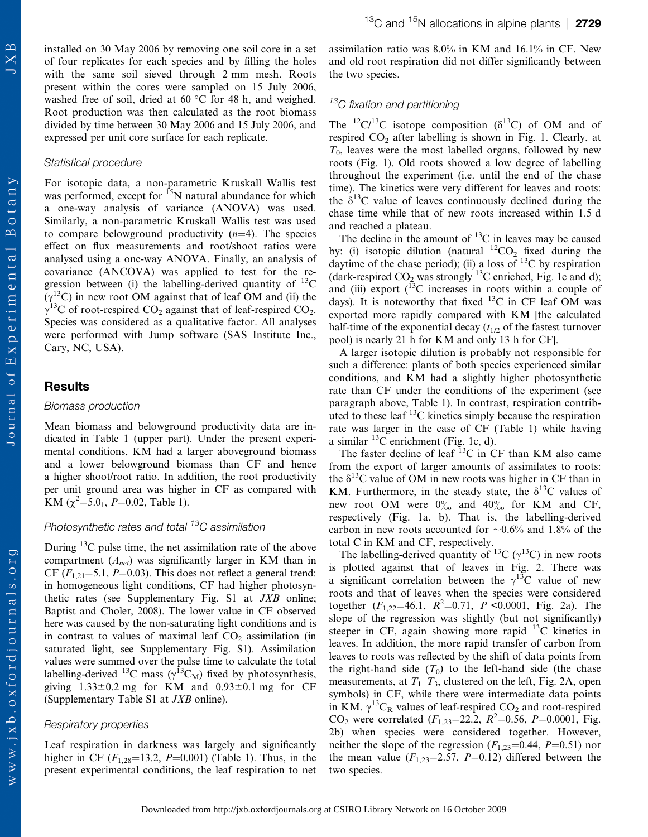www.jxb.oxfordjournals.org

installed on 30 May 2006 by removing one soil core in a set of four replicates for each species and by filling the holes with the same soil sieved through 2 mm mesh. Roots present within the cores were sampled on 15 July 2006, washed free of soil, dried at  $60^{\circ}$ C for 48 h, and weighed. Root production was then calculated as the root biomass divided by time between 30 May 2006 and 15 July 2006, and expressed per unit core surface for each replicate.

#### Statistical procedure

For isotopic data, a non-parametric Kruskall–Wallis test was performed, except for <sup>15</sup>N natural abundance for which a one-way analysis of variance (ANOVA) was used. Similarly, a non-parametric Kruskall–Wallis test was used to compare belowground productivity  $(n=4)$ . The species effect on flux measurements and root/shoot ratios were analysed using a one-way ANOVA. Finally, an analysis of covariance (ANCOVA) was applied to test for the regression between (i) the labelling-derived quantity of  $^{13}$ C  $(\gamma^{13}C)$  in new root OM against that of leaf OM and (ii) the  $\gamma$ <sup>13</sup>C of root-respired CO<sub>2</sub> against that of leaf-respired CO<sub>2</sub>. Species was considered as a qualitative factor. All analyses were performed with Jump software (SAS Institute Inc., Cary, NC, USA).

## Results

#### Biomass production

Mean biomass and belowground productivity data are indicated in Table 1 (upper part). Under the present experimental conditions, KM had a larger aboveground biomass and a lower belowground biomass than CF and hence a higher shoot/root ratio. In addition, the root productivity per unit ground area was higher in CF as compared with KM  $(\chi^2 = 5.0_1, P = 0.02,$  Table 1).

## Photosynthetic rates and total <sup>13</sup>C assimilation

During  $^{13}$ C pulse time, the net assimilation rate of the above compartment  $(A_{net})$  was significantly larger in KM than in CF ( $F_{1,21}$ =5.1, P=0.03). This does not reflect a general trend: in homogeneous light conditions, CF had higher photosynthetic rates (see [Supplementary Fig. S1](Supplementary Fig. S2) at JXB online; Baptist and Choler, 2008). The lower value in CF observed here was caused by the non-saturating light conditions and is in contrast to values of maximal leaf  $CO<sub>2</sub>$  assimilation (in saturated light, see [Supplementary Fig. S1](Supplementary Fig. S2)). Assimilation values were summed over the pulse time to calculate the total labelling-derived <sup>13</sup>C mass ( $\gamma$ <sup>13</sup>C<sub>M</sub>) fixed by photosynthesis, giving  $1.33\pm0.2$  mg for KM and  $0.93\pm0.1$  mg for CF [\(Supplementary Table S1](Supplementary Table S1) at JXB online).

#### Respiratory properties

Leaf respiration in darkness was largely and significantly higher in CF  $(F_{1,28} = 13.2, P = 0.001)$  (Table 1). Thus, in the present experimental conditions, the leaf respiration to net assimilation ratio was 8.0% in KM and 16.1% in CF. New and old root respiration did not differ significantly between the two species.

## $13C$  fixation and partitioning

The <sup>12</sup>C/<sup>13</sup>C isotope composition ( $\delta$ <sup>13</sup>C) of OM and of respired  $CO<sub>2</sub>$  after labelling is shown in Fig. 1. Clearly, at  $T_0$ , leaves were the most labelled organs, followed by new roots (Fig. 1). Old roots showed a low degree of labelling throughout the experiment (i.e. until the end of the chase time). The kinetics were very different for leaves and roots: the  $\delta^{13}$ C value of leaves continuously declined during the chase time while that of new roots increased within 1.5 d and reached a plateau.

The decline in the amount of  $^{13}$ C in leaves may be caused by: (i) isotopic dilution (natural  ${}^{12}CO_2$  fixed during the daytime of the chase period); (ii) a loss of  $^{13}$ C by respiration (dark-respired  $CO_2$  was strongly <sup>13</sup>C enriched, Fig. 1c and d); and (iii) export  $(^{13}C$  increases in roots within a couple of days). It is noteworthy that fixed  $^{13}$ C in CF leaf OM was exported more rapidly compared with KM [the calculated half-time of the exponential decay  $(t_{1/2}$  of the fastest turnover pool) is nearly 21 h for KM and only 13 h for CF].

A larger isotopic dilution is probably not responsible for such a difference: plants of both species experienced similar conditions, and KM had a slightly higher photosynthetic rate than CF under the conditions of the experiment (see paragraph above, Table 1). In contrast, respiration contributed to these leaf  $^{13}$ C kinetics simply because the respiration rate was larger in the case of CF (Table 1) while having a similar  ${}^{13}C$  enrichment (Fig. 1c, d).

The faster decline of leaf  ${}^{13}$ C in CF than KM also came from the export of larger amounts of assimilates to roots: the  $\delta^{13}$ C value of OM in new roots was higher in CF than in KM. Furthermore, in the steady state, the  $\delta^{13}$ C values of new root OM were  $0<sub>oo</sub><sup>o</sup>$  and  $40<sub>oo</sub><sup>o</sup>$  for KM and CF, respectively (Fig. 1a, b). That is, the labelling-derived carbon in new roots accounted for  $\sim 0.6\%$  and 1.8% of the total C in KM and CF, respectively.

The labelling-derived quantity of <sup>13</sup>C ( $\gamma$ <sup>13</sup>C) in new roots is plotted against that of leaves in Fig. 2. There was a significant correlation between the  $\gamma^{13}$ C value of new roots and that of leaves when the species were considered together  $(F_{1,22} = 46.1, R^2 = 0.71, P \le 0.0001, Fig. 2a)$ . The slope of the regression was slightly (but not significantly) steeper in CF, again showing more rapid  $^{13}$ C kinetics in leaves. In addition, the more rapid transfer of carbon from leaves to roots was reflected by the shift of data points from the right-hand side  $(T_0)$  to the left-hand side (the chase measurements, at  $T_1 - T_3$ , clustered on the left, Fig. 2A, open symbols) in CF, while there were intermediate data points in KM.  $\gamma^{13}C_R$  values of leaf-respired CO<sub>2</sub> and root-respired CO<sub>2</sub> were correlated  $(F_{1,23}=22.2, R^2=0.56, P=0.0001,$  Fig. 2b) when species were considered together. However, neither the slope of the regression  $(F_{1,23}=0.44, P=0.51)$  nor the mean value  $(F_{1,23}=2.57, P=0.12)$  differed between the two species.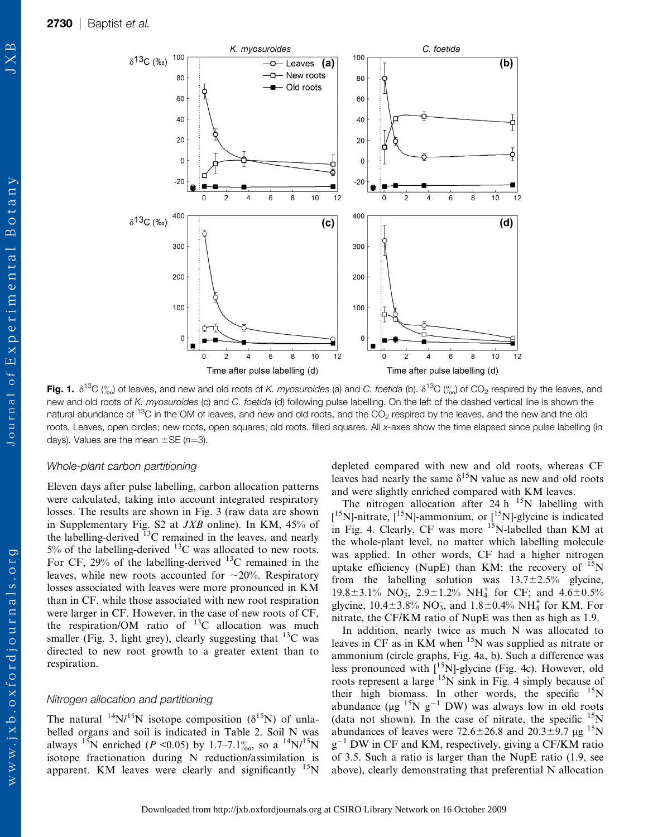$\delta^{13}C(%)$ 

10

80

60

40

20

 $\mathbf 0$ 

 $-20$ 

40<sub>C</sub>

300

200

100

 $\mathbf 0$ 

 $\Omega$ 

 $\overline{2}$ 

 $\overline{\mathbf{A}}$ 

 $\boldsymbol{6}$ 

Time after pulse labelling (d)

8

 $\delta^{13}C($ %0)



X

www.jxb.oxfordjournals.org

Fig. 1.  $\delta^{13}C$  (%) of leaves, and new and old roots of K. myosuroides (a) and C. foetida (b).  $\delta^{13}C$  (%) of CO<sub>2</sub> respired by the leaves, and new and old roots of K. myosuroides (c) and C. foetida (d) following pulse labelling. On the left of the dashed vertical line is shown the natural abundance of  $13C$  in the OM of leaves, and new and old roots, and the CO<sub>2</sub> respired by the leaves, and the new and the old roots. Leaves, open circles; new roots, open squares; old roots, filled squares. All x-axes show the time elapsed since pulse labelling (in days). Values are the mean  $\pm$ SE (n=3).

 $10$ 

 $12$ 

K. myosuroides

—o— Leaves **(a)** a-New roots

Old roots

 $10$ 

 $12$ 

 $(c)$ 

## Whole-plant carbon partitioning

Eleven days after pulse labelling, carbon allocation patterns were calculated, taking into account integrated respiratory losses. The results are shown in Fig. 3 (raw data are shown in<Supplementary Fig. S2> at  $JXB$  online). In KM, 45% of the labelling-derived  $^{13}$ C remained in the leaves, and nearly  $5\%$  of the labelling-derived  $^{13}$ C was allocated to new roots. For CF, 29% of the labelling-derived  $^{13}$ C remained in the leaves, while new roots accounted for  $\sim$ 20%. Respiratory losses associated with leaves were more pronounced in KM than in CF, while those associated with new root respiration were larger in CF. However, in the case of new roots of CF, the respiration/OM ratio of  $^{13}$ C allocation was much smaller (Fig. 3, light grey), clearly suggesting that <sup>13</sup>C was directed to new root growth to a greater extent than to respiration.

#### Nitrogen allocation and partitioning

The natural <sup>14</sup>N/<sup>15</sup>N isotope composition ( $\delta^{15}$ N) of unlabelled organs and soil is indicated in Table 2. Soil N was always <sup>15</sup>N enriched (P < 0.05) by 1.7–7.1<sup>o</sup><sub>00</sub>, so a <sup>14</sup>N/<sup>15</sup>N isotope fractionation during N reduction/assimilation is apparent. KM leaves were clearly and significantly <sup>15</sup>N

depleted compared with new and old roots, whereas CF leaves had nearly the same  $\delta^{15}N$  value as new and old roots and were slightly enriched compared with KM leaves.

C. foetida

6

8

 $10<sub>1</sub>$ 

 $(d)$ 

 $12$ 

 $(b)$ 

100

80

60

40

20

 $\Omega$ 

 $-20$ 

400

300

200

100

 $\mathbf 0$ 

 $\Omega$ 

 $\overline{2}$ 

4

6

Time after pulse labelling (d)

8

 $10<sub>1</sub>$ 

 $12$ 

The nitrogen allocation after 24 h  $^{15}N$  labelling with  $[{}^{15}N]$ -nitrate,  $[{}^{15}N]$ -ammonium, or  $[{}^{15}N]$ -glycine is indicated in Fig. 4. Clearly, CF was more  $15N$ -labelled than KM at the whole-plant level, no matter which labelling molecule was applied. In other words, CF had a higher nitrogen uptake efficiency (NupE) than KM: the recovery of  $^{15}N$ from the labelling solution was  $13.7 \pm 2.5\%$  glycine, 19.8±3.1% NO<sub>3</sub>, 2.9±1.2% NH<sub>4</sub><sup>+</sup> for CF; and 4.6±0.5% glycine,  $10.4 \pm 3.8\% \text{ NO}_3$ , and  $1.8 \pm 0.4\% \text{ NH}_4^+$  for KM. For nitrate, the CF/KM ratio of NupE was then as high as 1.9.

In addition, nearly twice as much N was allocated to leaves in CF as in KM when  $15N$  was supplied as nitrate or ammonium (circle graphs, Fig. 4a, b). Such a difference was less pronounced with  $\left[$ <sup>15</sup>N]-glycine (Fig. 4c). However, old roots represent a large <sup>15</sup>N sink in Fig. 4 simply because of their high biomass. In other words, the specific  $15N$ abundance ( $\mu$ g <sup>15</sup>N g<sup>-1</sup> DW) was always low in old roots (data not shown). In the case of nitrate, the specific  $15N$ abundances of leaves were  $72.6 \pm 26.8$  and  $20.3 \pm 9.7$   $\mu$ g <sup>15</sup>N  $g^{-1}$  DW in CF and KM, respectively, giving a CF/KM ratio of 3.5. Such a ratio is larger than the NupE ratio (1.9, see above), clearly demonstrating that preferential N allocation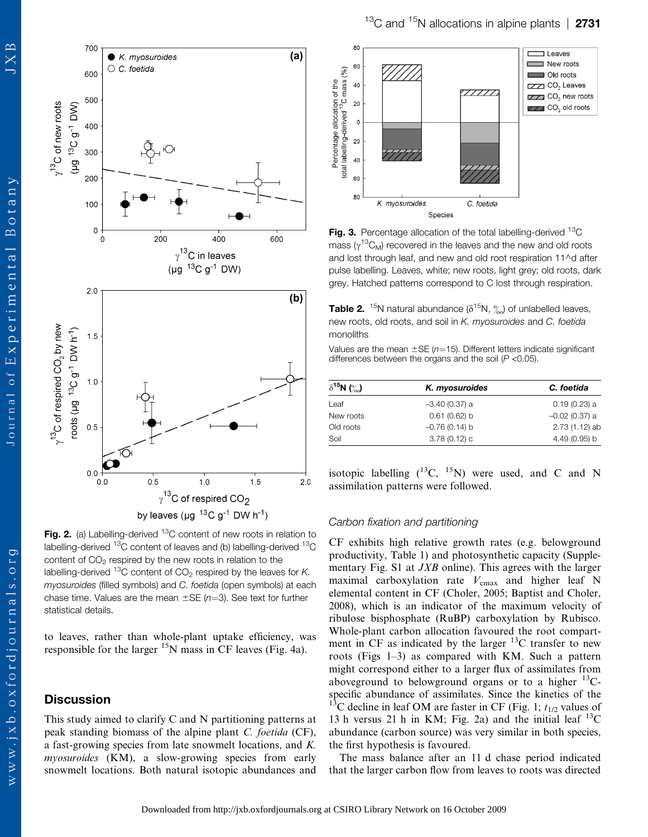$\mathbf{p}$ 

 $\overline{X}$ 



Fig. 2. (a) Labelling-derived  $^{13}$ C content of new roots in relation to labelling-derived  $^{13}$ C content of leaves and (b) labelling-derived  $^{13}$ C content of  $CO<sub>2</sub>$  respired by the new roots in relation to the labelling-derived  $^{13}$ C content of CO<sub>2</sub> respired by the leaves for K. myosuroides (filled symbols) and C. foetida (open symbols) at each chase time. Values are the mean  $\pm$ SE (n=3). See text for further

to leaves, rather than whole-plant uptake efficiency, was responsible for the larger  $15N$  mass in CF leaves (Fig. 4a).

# **Discussion**

statistical details.

This study aimed to clarify C and N partitioning patterns at peak standing biomass of the alpine plant C. foetida (CF), a fast-growing species from late snowmelt locations, and K. myosuroides (KM), a slow-growing species from early snowmelt locations. Both natural isotopic abundances and



Fig. 3. Percentage allocation of the total labelling-derived  ${}^{13}C$ mass ( $\gamma^{13}C_M$ ) recovered in the leaves and the new and old roots and lost through leaf, and new and old root respiration 11^d after pulse labelling. Leaves, white; new roots, light grey; old roots, dark grey. Hatched patterns correspond to C lost through respiration.

**Table 2.** <sup>15</sup>N natural abundance ( $\delta$ <sup>15</sup>N,  $\%$ ) of unlabelled leaves, new roots, old roots, and soil in K. myosuroides and C. foetida monoliths

Values are the mean  $\pm$ SE (n=15). Different letters indicate significant differences between the organs and the soil  $(P < 0.05)$ .

| $\delta^{15}N$ (%) | K. myosuroides  | C. foetida       |
|--------------------|-----------------|------------------|
| Leaf               | $-3.40(0.37)$ a | $0.19(0.23)$ a   |
| New roots          | 0.61(0.62) b    | $-0.02$ (0.37) a |
| Old roots          | $-0.76(0.14)$ b | $2.73(1.12)$ ab  |
| Soil               | $3.78(0.12)$ c  | 4.49 (0.95) b    |

isotopic labelling  $(^{13}C, ^{15}N)$  were used, and C and N assimilation patterns were followed.

## Carbon fixation and partitioning

CF exhibits high relative growth rates (e.g. belowground productivity, Table 1) and photosynthetic capacity [\(Supple](Supplementary Fig. S2)[mentary Fig. S1](Supplementary Fig. S2) at *JXB* online). This agrees with the larger maximal carboxylation rate  $V_{\text{cmax}}$  and higher leaf N elemental content in CF (Choler, 2005; Baptist and Choler, 2008), which is an indicator of the maximum velocity of ribulose bisphosphate (RuBP) carboxylation by Rubisco. Whole-plant carbon allocation favoured the root compartment in CF as indicated by the larger  $^{13}$ C transfer to new roots (Figs 1–3) as compared with KM. Such a pattern might correspond either to a larger flux of assimilates from aboveground to belowground organs or to a higher  $^{13}C$ specific abundance of assimilates. Since the kinetics of the <sup>13</sup>C decline in leaf OM are faster in CF (Fig. 1;  $t_{1/2}$  values of 13 h versus 21 h in KM; Fig. 2a) and the initial leaf  $^{13}$ C abundance (carbon source) was very similar in both species, the first hypothesis is favoured.

The mass balance after an 11 d chase period indicated that the larger carbon flow from leaves to roots was directed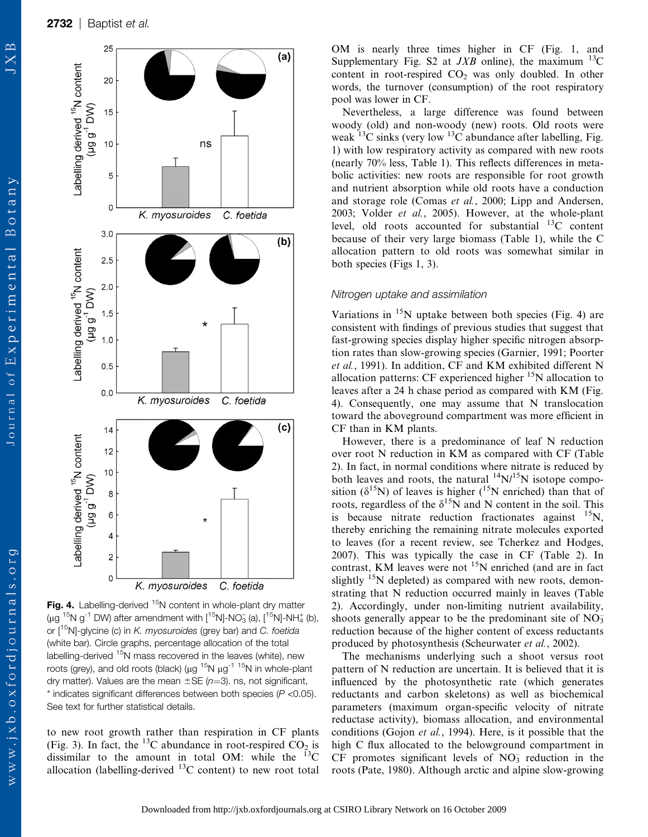

Fig. 4. Labelling-derived  $15N$  content in whole-plant dry matter (µg  $^{15}N$  g<sup>-1</sup> DW) after amendment with  $[^{15}N]$ -NO<sub>3</sub> (a),  $[^{15}N]$ -NH<sub>4</sub> (b), or  $\left[1^{15}$ N]-glycine (c) in *K. myosuroides* (grey bar) and *C. foetida* (white bar). Circle graphs, percentage allocation of the total labelling-derived <sup>15</sup>N mass recovered in the leaves (white), new roots (grey), and old roots (black) ( $\mu$ g<sup>-15</sup>N  $\mu$ g<sup>-1-15</sup>N in whole-plant dry matter). Values are the mean  $\pm$  SE (n=3). ns, not significant,  $*$  indicates significant differences between both species ( $P$  <0.05). See text for further statistical details.

to new root growth rather than respiration in CF plants (Fig. 3). In fact, the <sup>13</sup>C abundance in root-respired  $CO<sub>2</sub>$  is dissimilar to the amount in total OM: while the  $^{13}$ C allocation (labelling-derived  $^{13}$ C content) to new root total OM is nearly three times higher in CF (Fig. 1, and <Supplementary Fig. S2> at  $JXB$  online), the maximum  $^{13}C$ content in root-respired  $CO<sub>2</sub>$  was only doubled. In other words, the turnover (consumption) of the root respiratory pool was lower in CF.

Nevertheless, a large difference was found between woody (old) and non-woody (new) roots. Old roots were weak  $^{13}$ C sinks (very low  $^{13}$ C abundance after labelling, Fig. 1) with low respiratory activity as compared with new roots (nearly 70% less, Table 1). This reflects differences in metabolic activities: new roots are responsible for root growth and nutrient absorption while old roots have a conduction and storage role (Comas et al., 2000; Lipp and Andersen, 2003; Volder et al., 2005). However, at the whole-plant level, old roots accounted for substantial  $^{13}$ C content because of their very large biomass (Table 1), while the C allocation pattern to old roots was somewhat similar in both species (Figs 1, 3).

#### Nitrogen uptake and assimilation

Variations in  $15N$  uptake between both species (Fig. 4) are consistent with findings of previous studies that suggest that fast-growing species display higher specific nitrogen absorption rates than slow-growing species (Garnier, 1991; Poorter et al., 1991). In addition, CF and KM exhibited different N allocation patterns: CF experienced higher  $15N$  allocation to leaves after a 24 h chase period as compared with KM (Fig. 4). Consequently, one may assume that N translocation toward the aboveground compartment was more efficient in CF than in KM plants.

However, there is a predominance of leaf N reduction over root N reduction in KM as compared with CF (Table 2). In fact, in normal conditions where nitrate is reduced by both leaves and roots, the natural  $^{14}$ N/<sup>15</sup>N isotope composition ( $\delta^{15}$ N) of leaves is higher (<sup>15</sup>N enriched) than that of roots, regardless of the  $\delta^{15}N$  and N content in the soil. This is because nitrate reduction fractionates against  $^{15}$ N, thereby enriching the remaining nitrate molecules exported to leaves (for a recent review, see Tcherkez and Hodges, 2007). This was typically the case in CF (Table 2). In contrast, KM leaves were not  $15N$  enriched (and are in fact slightly  $15N$  depleted) as compared with new roots, demonstrating that N reduction occurred mainly in leaves (Table 2). Accordingly, under non-limiting nutrient availability, shoots generally appear to be the predominant site of  $NO<sub>3</sub>$ reduction because of the higher content of excess reductants produced by photosynthesis (Scheurwater et al., 2002).

The mechanisms underlying such a shoot versus root pattern of N reduction are uncertain. It is believed that it is influenced by the photosynthetic rate (which generates reductants and carbon skeletons) as well as biochemical parameters (maximum organ-specific velocity of nitrate reductase activity), biomass allocation, and environmental conditions (Gojon et al., 1994). Here, is it possible that the high C flux allocated to the belowground compartment in  $CF$  promotes significant levels of  $NO<sub>3</sub>$  reduction in the roots (Pate, 1980). Although arctic and alpine slow-growing

 $\mathbb{R}$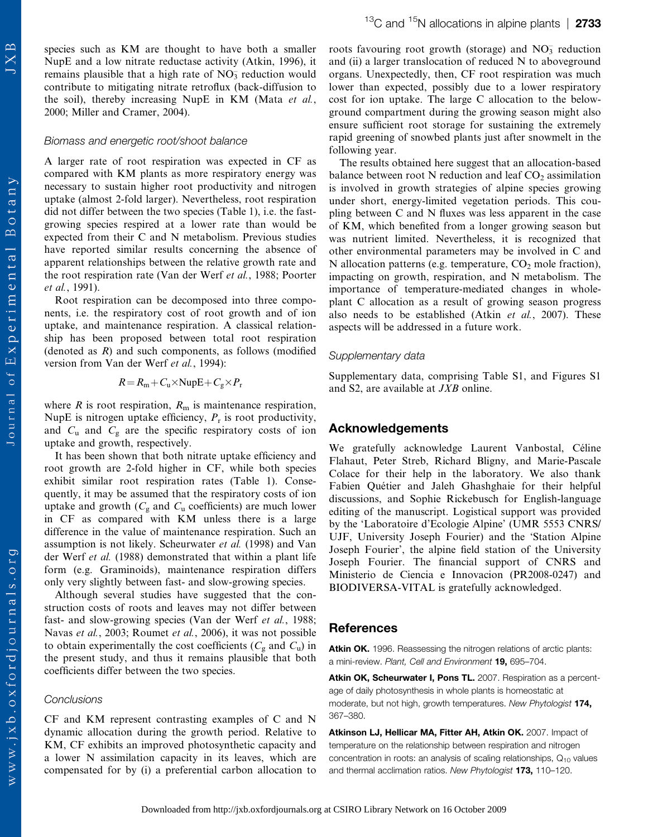$13^{\circ}$ C and  $15^{\circ}$ N allocations in alpine plants | 2733

species such as KM are thought to have both a smaller NupE and a low nitrate reductase activity (Atkin, 1996), it remains plausible that a high rate of  $NO<sub>3</sub><sup>-</sup>$  reduction would contribute to mitigating nitrate retroflux (back-diffusion to the soil), thereby increasing NupE in KM (Mata et al., 2000; Miller and Cramer, 2004).

#### Biomass and energetic root/shoot balance

A larger rate of root respiration was expected in CF as compared with KM plants as more respiratory energy was necessary to sustain higher root productivity and nitrogen uptake (almost 2-fold larger). Nevertheless, root respiration did not differ between the two species (Table 1), i.e. the fastgrowing species respired at a lower rate than would be expected from their C and N metabolism. Previous studies have reported similar results concerning the absence of apparent relationships between the relative growth rate and the root respiration rate (Van der Werf et al., 1988; Poorter et al., 1991).

Root respiration can be decomposed into three components, i.e. the respiratory cost of root growth and of ion uptake, and maintenance respiration. A classical relationship has been proposed between total root respiration (denoted as  $R$ ) and such components, as follows (modified version from Van der Werf et al., 1994):

$$
R = R_{\rm m} + C_{\rm u} \times \text{NupE} + C_{\rm g} \times P_{\rm r}
$$

where  $R$  is root respiration,  $R<sub>m</sub>$  is maintenance respiration, NupE is nitrogen uptake efficiency,  $P_r$  is root productivity, and  $C_u$  and  $C_g$  are the specific respiratory costs of ion uptake and growth, respectively.

It has been shown that both nitrate uptake efficiency and root growth are 2-fold higher in CF, while both species exhibit similar root respiration rates (Table 1). Consequently, it may be assumed that the respiratory costs of ion uptake and growth  $(C_g$  and  $C_u$  coefficients) are much lower in CF as compared with KM unless there is a large difference in the value of maintenance respiration. Such an assumption is not likely. Scheurwater et al. (1998) and Van der Werf et al. (1988) demonstrated that within a plant life form (e.g. Graminoids), maintenance respiration differs only very slightly between fast- and slow-growing species.

Although several studies have suggested that the construction costs of roots and leaves may not differ between fast- and slow-growing species (Van der Werf et al., 1988; Navas et al., 2003; Roumet et al., 2006), it was not possible to obtain experimentally the cost coefficients ( $C_g$  and  $C_u$ ) in the present study, and thus it remains plausible that both coefficients differ between the two species.

#### **Conclusions**

CF and KM represent contrasting examples of C and N dynamic allocation during the growth period. Relative to KM, CF exhibits an improved photosynthetic capacity and a lower N assimilation capacity in its leaves, which are compensated for by (i) a preferential carbon allocation to

roots favouring root growth (storage) and  $NO<sub>3</sub><sup>-</sup>$  reduction and (ii) a larger translocation of reduced N to aboveground organs. Unexpectedly, then, CF root respiration was much lower than expected, possibly due to a lower respiratory cost for ion uptake. The large C allocation to the belowground compartment during the growing season might also ensure sufficient root storage for sustaining the extremely rapid greening of snowbed plants just after snowmelt in the following year.

The results obtained here suggest that an allocation-based balance between root  $N$  reduction and leaf  $CO<sub>2</sub>$  assimilation is involved in growth strategies of alpine species growing under short, energy-limited vegetation periods. This coupling between C and N fluxes was less apparent in the case of KM, which benefited from a longer growing season but was nutrient limited. Nevertheless, it is recognized that other environmental parameters may be involved in C and N allocation patterns (e.g. temperature,  $CO<sub>2</sub>$  mole fraction), impacting on growth, respiration, and N metabolism. The importance of temperature-mediated changes in wholeplant C allocation as a result of growing season progress also needs to be established (Atkin *et al.*, 2007). These aspects will be addressed in a future work.

## Supplementary data

Supplementary data, comprising [Table S1,](Table S1) and<Figures S1> and<S2>, are available at JXB online.

## Acknowledgements

We gratefully acknowledge Laurent Vanbostal, Céline Flahaut, Peter Streb, Richard Bligny, and Marie-Pascale Colace for their help in the laboratory. We also thank Fabien Quétier and Jaleh Ghashghaie for their helpful discussions, and Sophie Rickebusch for English-language editing of the manuscript. Logistical support was provided by the 'Laboratoire d'Ecologie Alpine' (UMR 5553 CNRS/ UJF, University Joseph Fourier) and the 'Station Alpine Joseph Fourier', the alpine field station of the University Joseph Fourier. The financial support of CNRS and Ministerio de Ciencia e Innovacion (PR2008-0247) and BIODIVERSA-VITAL is gratefully acknowledged.

#### **References**

Atkin OK. 1996. Reassessing the nitrogen relations of arctic plants: a mini-review. Plant, Cell and Environment 19, 695–704.

Atkin OK, Scheurwater I, Pons TL. 2007. Respiration as a percentage of daily photosynthesis in whole plants is homeostatic at moderate, but not high, growth temperatures. New Phytologist 174, 367–380.

Atkinson LJ, Hellicar MA, Fitter AH, Atkin OK. 2007. Impact of temperature on the relationship between respiration and nitrogen concentration in roots: an analysis of scaling relationships,  $Q_{10}$  values and thermal acclimation ratios. New Phytologist 173, 110-120.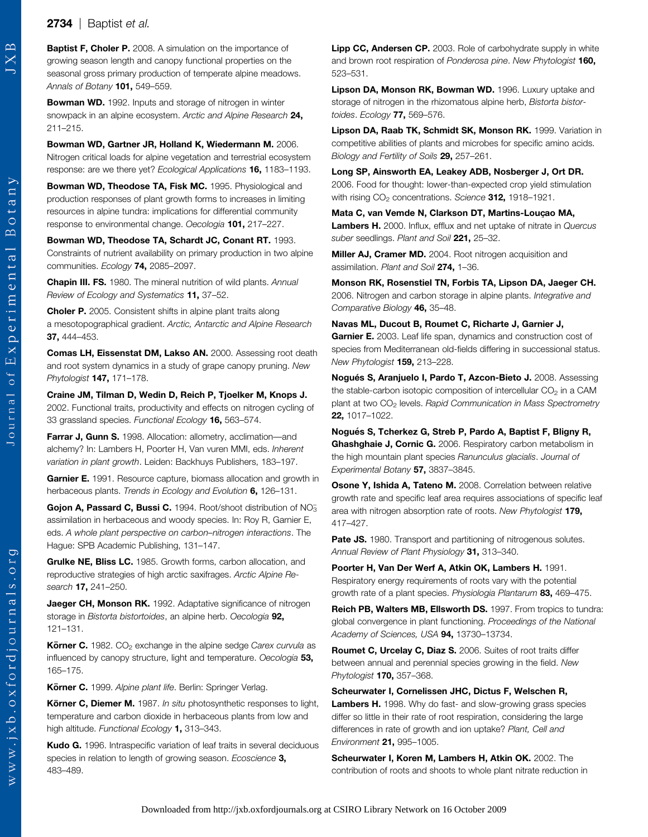## **2734** | Baptist et al.

Baptist F, Choler P. 2008. A simulation on the importance of growing season length and canopy functional properties on the seasonal gross primary production of temperate alpine meadows. Annals of Botany 101, 549-559.

Bowman WD. 1992. Inputs and storage of nitrogen in winter snowpack in an alpine ecosystem. Arctic and Alpine Research 24, 211–215.

Bowman WD, Gartner JR, Holland K, Wiedermann M. 2006. Nitrogen critical loads for alpine vegetation and terrestrial ecosystem response: are we there yet? Ecological Applications 16, 1183-1193.

Bowman WD, Theodose TA, Fisk MC. 1995. Physiological and production responses of plant growth forms to increases in limiting resources in alpine tundra: implications for differential community response to environmental change. Oecologia 101, 217–227.

Bowman WD, Theodose TA, Schardt JC, Conant RT. 1993. Constraints of nutrient availability on primary production in two alpine communities. Ecology 74, 2085–2097.

Chapin III. FS. 1980. The mineral nutrition of wild plants. Annual Review of Ecology and Systematics 11, 37-52.

**Choler P.** 2005. Consistent shifts in alpine plant traits along a mesotopographical gradient. Arctic, Antarctic and Alpine Research 37, 444–453.

Comas LH, Eissenstat DM, Lakso AN. 2000. Assessing root death and root system dynamics in a study of grape canopy pruning. New Phytologist 147, 171–178.

Craine JM, Tilman D, Wedin D, Reich P, Tjoelker M, Knops J. 2002. Functional traits, productivity and effects on nitrogen cycling of 33 grassland species. Functional Ecology 16, 563-574.

Farrar J. Gunn S. 1998. Allocation: allometry, acclimation—and alchemy? In: Lambers H, Poorter H, Van vuren MMI, eds. Inherent variation in plant growth. Leiden: Backhuys Publishers, 183–197.

Garnier E. 1991. Resource capture, biomass allocation and growth in herbaceous plants. Trends in Ecology and Evolution 6, 126-131.

Gojon A, Passard C, Bussi C. 1994. Root/shoot distribution of NO<sub>3</sub> assimilation in herbaceous and woody species. In: Roy R, Garnier E, eds. A whole plant perspective on carbon–nitrogen interactions. The Hague: SPB Academic Publishing, 131–147.

Grulke NE, Bliss LC. 1985. Growth forms, carbon allocation, and reproductive strategies of high arctic saxifrages. Arctic Alpine Research **17,** 241-250.

Jaeger CH, Monson RK. 1992. Adaptative significance of nitrogen storage in Bistorta bistortoides, an alpine herb. Oecologia 92, 121–131.

**Körner C.** 1982. CO<sub>2</sub> exchange in the alpine sedge Carex curvula as influenced by canopy structure, light and temperature. Oecologia 53, 165–175.

Körner C. 1999. Alpine plant life. Berlin: Springer Verlag.

Körner C, Diemer M. 1987. In situ photosynthetic responses to light, temperature and carbon dioxide in herbaceous plants from low and high altitude. Functional Ecology 1, 313-343.

Kudo G. 1996. Intraspecific variation of leaf traits in several deciduous species in relation to length of growing season. Ecoscience 3. 483–489.

Lipp CC, Andersen CP. 2003. Role of carbohydrate supply in white and brown root respiration of Ponderosa pine. New Phytologist 160, 523–531.

Lipson DA, Monson RK, Bowman WD. 1996. Luxury uptake and storage of nitrogen in the rhizomatous alpine herb, Bistorta bistortoides. Ecology 77, 569-576.

Lipson DA, Raab TK, Schmidt SK, Monson RK. 1999. Variation in competitive abilities of plants and microbes for specific amino acids. Biology and Fertility of Soils 29, 257-261.

Long SP, Ainsworth EA, Leakey ADB, Nosberger J, Ort DR. 2006. Food for thought: lower-than-expected crop yield stimulation with rising  $CO<sub>2</sub>$  concentrations. Science 312, 1918–1921.

Mata C, van Vemde N, Clarkson DT, Martins-Louc*x*ao MA, Lambers H. 2000. Influx, efflux and net uptake of nitrate in Quercus suber seedlings. Plant and Soil 221, 25-32.

Miller AJ, Cramer MD. 2004. Root nitrogen acquisition and assimilation. Plant and Soil 274, 1-36.

Monson RK, Rosenstiel TN, Forbis TA, Lipson DA, Jaeger CH. 2006. Nitrogen and carbon storage in alpine plants. Integrative and Comparative Biology 46, 35-48.

Navas ML, Ducout B, Roumet C, Richarte J, Garnier J, Garnier E. 2003. Leaf life span, dynamics and construction cost of species from Mediterranean old-fields differing in successional status. New Phytologist 159, 213–228.

Nogués S, Aranjuelo I, Pardo T, Azcon-Bieto J. 2008. Assessing the stable-carbon isotopic composition of intercellular  $CO<sub>2</sub>$  in a CAM plant at two CO<sub>2</sub> levels. Rapid Communication in Mass Spectrometry 22, 1017–1022.

Nogués S, Tcherkez G, Streb P, Pardo A, Baptist F, Bligny R, Ghashghaie J, Cornic G. 2006. Respiratory carbon metabolism in the high mountain plant species Ranunculus glacialis. Journal of Experimental Botany 57, 3837–3845.

Osone Y, Ishida A, Tateno M. 2008. Correlation between relative growth rate and specific leaf area requires associations of specific leaf area with nitrogen absorption rate of roots. New Phytologist 179, 417–427.

Pate JS. 1980. Transport and partitioning of nitrogenous solutes. Annual Review of Plant Physiology 31, 313-340.

Poorter H, Van Der Werf A, Atkin OK, Lambers H. 1991. Respiratory energy requirements of roots vary with the potential growth rate of a plant species. Physiologia Plantarum 83, 469-475.

Reich PB, Walters MB, Ellsworth DS. 1997. From tropics to tundra: global convergence in plant functioning. Proceedings of the National Academy of Sciences, USA 94, 13730–13734.

Roumet C, Urcelay C, Diaz S. 2006. Suites of root traits differ between annual and perennial species growing in the field. New Phytologist 170, 357-368.

Scheurwater I, Cornelissen JHC, Dictus F, Welschen R, Lambers H. 1998. Why do fast- and slow-growing grass species differ so little in their rate of root respiration, considering the large differences in rate of growth and ion uptake? Plant, Cell and Environment 21, 995–1005.

Scheurwater I. Koren M. Lambers H. Atkin OK. 2002. The contribution of roots and shoots to whole plant nitrate reduction in

 $w w$ .  $j x b$ .  $o x f o r d$   $j o u r n a 1 s$ .  $o r g$